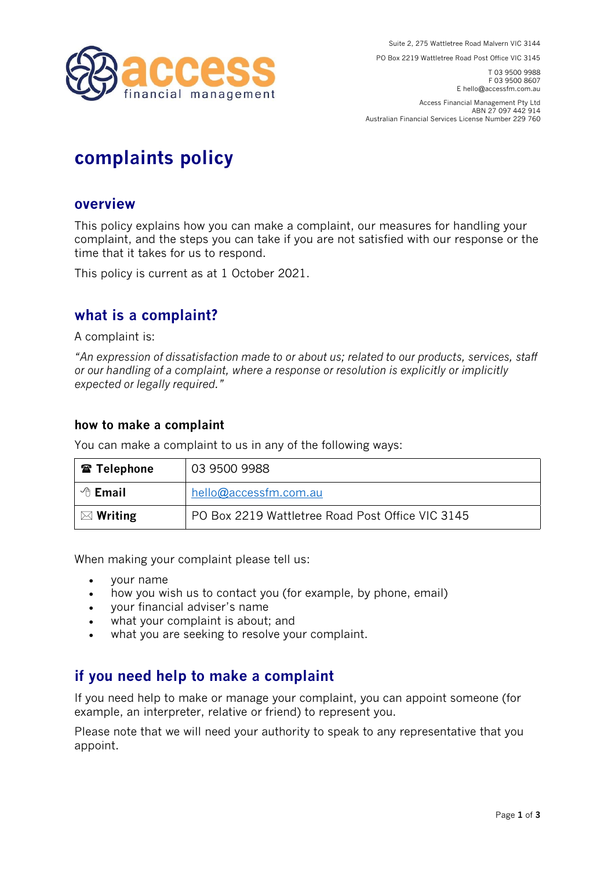

**PO Box 2219 Wattletree Road Post Office VIC 3145** 

**T 03 9500 9988 F 03 9500 8607 E hello@accessfm.com.au** 

**Access Financial Management Pty Ltd ABN 27 097 442 914 Australian Financial Services License Number 229 760** 

# **complaints policy**

#### **overview**

**This policy explains how you can make a complaint, our measures for handling your complaint, and the steps you can take if you are not satisfied with our response or the time that it takes for us to respond.**

**This policy is current as at 1 October 2021.**

### **what is a complaint?**

**A complaint is:**

*"An expression of dissatisfaction made to or about us; related to our products, services, staff or our handling of a complaint, where a response or resolution is explicitly or implicitly expected or legally required."*

#### **how to make a complaint**

**You can make a complaint to us in any of the following ways:**

| <b>雷 Telephone</b>  | 03 9500 9988                                     |
|---------------------|--------------------------------------------------|
| $\Theta$ Email      | hello@accessfm.com.au                            |
| $\boxtimes$ Writing | PO Box 2219 Wattletree Road Post Office VIC 3145 |

**When making your complaint please tell us:**

- **your name**
- **how you wish us to contact you (for example, by phone, email)**
- **your financial adviser's name**
- **what your complaint is about; and**
- **what you are seeking to resolve your complaint.**

# **if you need help to make a complaint**

**If you need help to make or manage your complaint, you can appoint someone (for example, an interpreter, relative or friend) to represent you.** 

**Please note that we will need your authority to speak to any representative that you appoint.**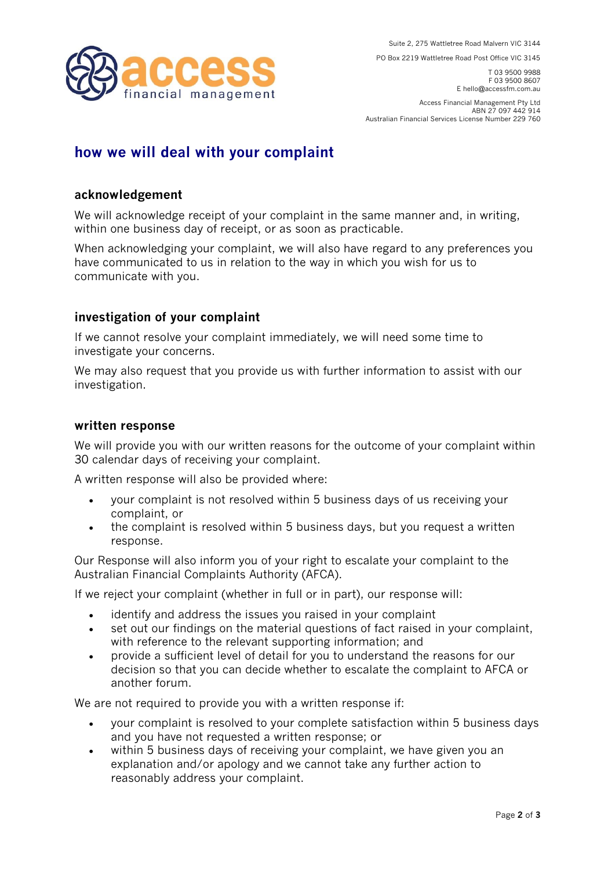financial management

**PO Box 2219 Wattletree Road Post Office VIC 3145** 

**T 03 9500 9988 F 03 9500 8607 E hello@accessfm.com.au** 

**Access Financial Management Pty Ltd ABN 27 097 442 914 Australian Financial Services License Number 229 760** 

# **how we will deal with your complaint**

#### **acknowledgement**

**We will acknowledge receipt of your complaint in the same manner and, in writing, within one business day of receipt, or as soon as practicable.**

**When acknowledging your complaint, we will also have regard to any preferences you have communicated to us in relation to the way in which you wish for us to communicate with you.**

#### **investigation of your complaint**

**If we cannot resolve your complaint immediately, we will need some time to investigate your concerns.**

**We may also request that you provide us with further information to assist with our investigation.** 

#### **written response**

**We will provide you with our written reasons for the outcome of your complaint within 30 calendar days of receiving your complaint.** 

**A written response will also be provided where:**

- **your complaint is not resolved within 5 business days of us receiving your complaint, or**
- **the complaint is resolved within 5 business days, but you request a written response.**

**Our Response will also inform you of your right to escalate your complaint to the Australian Financial Complaints Authority (AFCA).**

**If we reject your complaint (whether in full or in part), our response will:**

- **identify and address the issues you raised in your complaint**
- **set out our findings on the material questions of fact raised in your complaint, with reference to the relevant supporting information; and**
- **provide a sufficient level of detail for you to understand the reasons for our decision so that you can decide whether to escalate the complaint to AFCA or another forum.**

**We are not required to provide you with a written response if:**

- **your complaint is resolved to your complete satisfaction within 5 business days and you have not requested a written response; or**
- **within 5 business days of receiving your complaint, we have given you an explanation and/or apology and we cannot take any further action to reasonably address your complaint.**